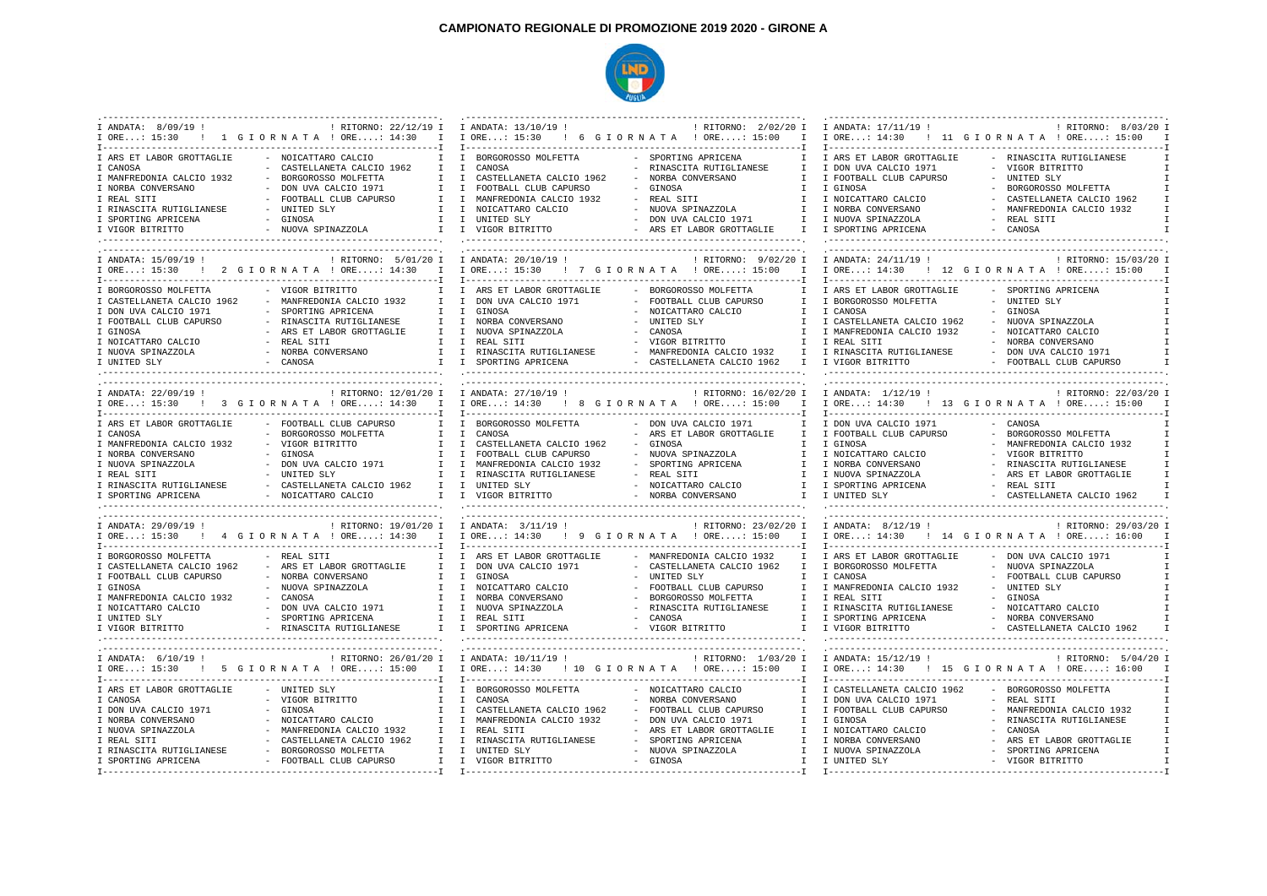## **CAMPIONATO REGIONALE DI PROMOZIONE 2019 2020 - GIRONE A**



| I ANDATA: 8/09/19 !        | : RITORNO: 22/12/19 I I ANDATA: 13/10/19 !<br>I ORE: 15:30 : 1 G I O R N A T A ! ORE: 14:30<br>$\mathbf{I}$ | I ORE: 15:30 ! 6 G I O R N A T A ! ORE: 15:00  | ! RITORNO: 2/02/20 I<br>$\mathbb{I}$                                     | I ANDATA: 17/11/19 !                      | ! RITORNO: 8/03/20 I<br>I ORE: 14:30 : 11 G I OR N A T A ! ORE: 15:00  |
|----------------------------|-------------------------------------------------------------------------------------------------------------|------------------------------------------------|--------------------------------------------------------------------------|-------------------------------------------|------------------------------------------------------------------------|
| I ARS ET LABOR GROTTAGLIE  | - NOICATTARO CALCIO                                                                                         | I BORGOROSSO MOLFETTA                          | - SPORTING APRICENA                                                      | I ARS ET LABOR GROTTAGLIE                 | - RINASCITA RUTIGLIANESE                                               |
| I CANOSA                   | - CASTELLANETA CALCIO 1962<br>T                                                                             | T CANOSA                                       | - RINASCITA RUTIGLIANESE<br>T                                            | I DON UVA CALCIO 1971                     | - VIGOR BITRITTO                                                       |
| I MANFREDONIA CALCIO 1932  | BORGOROSSO MOLFETTA<br>T                                                                                    | $\mathbb{I}$<br>CASTELLANETA CALCIO 1962       | NORBA CONVERSANO<br>T                                                    | I FOOTBALL CLUB CAPURSO                   | - UNITED SLY                                                           |
| I NORBA CONVERSANO         | - DON UVA CALCIO 1971<br>$\mathbf{T}$                                                                       | I FOOTBALL CLUB CAPURSO                        | - GINOSA<br>T                                                            | I GINOSA                                  | - BORGOROSSO MOLFETTA                                                  |
| I REAL SITI                | - FOOTBALL CLUB CAPURSO                                                                                     | I I MANFREDONIA CALCIO 1932                    | - REAL SITI<br>T                                                         | I NOICATTARO CALCIO                       | - CASTELLANETA CALCIO 1962<br>T                                        |
| I RINASCITA RUTIGLIANESE   | - UNITED SLY                                                                                                | I NOICATTARO CALCIO                            | - NUOVA SPINAZZOLA<br>$\mathbb{I}$                                       | I NORBA CONVERSANO                        | - MANFREDONIA CALCIO 1932                                              |
| I SPORTING APRICENA        | - GINOSA                                                                                                    | I I UNITED SLY                                 | - DON UVA CALCIO 1971                                                    | I I NUOVA SPINAZZOLA                      | - REAL SITI                                                            |
| I VIGOR BITRITTO           | - NUOVA SPINAZZOLA                                                                                          | I I VIGOR BITRITTO                             | - ARS ET LABOR GROTTAGLIE                                                | I I SPORTING APRICENA                     | - CANOSA                                                               |
| I ANDATA: 15/09/19 !       | : RITORNO: 5/01/20 I I ANDATA: 20/10/19 !<br>I ORE: 15:30 : 2 G I O R N A T A ! ORE: 14:30<br>$\mathbf{I}$  | I ORE: 15:30 ! 7 G I OR N A T A ! ORE: 15:00   | [undergroundergroundergroundergroundergroundergrounder]]<br>$\mathbb{I}$ | ! RITORNO: 9/02/20 I I ANDATA: 24/11/19 ! | : RITORNO: 15/03/20 I<br>I ORE: 14:30 ! 12 G I ORNATA ! ORE: 15:00     |
|                            |                                                                                                             |                                                |                                                                          |                                           |                                                                        |
| I BORGOROSSO MOLFETTA      | - VIGOR BITRITTO                                                                                            | I ARS ET LABOR GROTTAGLIE                      | - BORGOROSSO MOLFETTA<br>$\mathbf{I}$                                    | I ARS ET LABOR GROTTAGLIE                 | - SPORTING APRICENA                                                    |
| I CASTELLANETA CALCIO 1962 | - MANFREDONIA CALCIO 1932<br>T                                                                              | I DON UVA CALCIO 1971                          | - FOOTBALL CLUB CAPURSO<br>T                                             | I BORGOROSSO MOLFETTA                     | - UNITED SLY                                                           |
| I DON UVA CALCIO 1971      | SPORTING APRICENA<br>$\mathbb{I}$                                                                           | I GINOSA                                       | NOICATTARO CALCIO<br>$\mathbb{I}$                                        | I CANOSA                                  | - GINOSA                                                               |
| I FOOTBALL CLUB CAPURSO    | - RINASCITA RUTIGLIANESE                                                                                    | I I NORBA CONVERSANO                           | $\sim$<br>UNITED SLY<br>T                                                | I CASTELLANETA CALCIO 1962                | - NUOVA SPINAZZOLA                                                     |
| I GINOSA                   | - ARS ET LABOR GROTTAGLIE                                                                                   | I I NUOVA SPINAZZOLA                           | - CANOSA<br>T                                                            | I MANFREDONIA CALCIO 1932                 | - NOICATTARO CALCIO                                                    |
| I NOICATTARO CALCIO        | - REAL SITI<br>T                                                                                            | I REAL SITI                                    | VIGOR BITRITTO<br>$\mathbb{I}$                                           | I REAL SITI                               | - NORBA CONVERSANO                                                     |
| I NUOVA SPINAZZOLA         | - NORBA CONVERSANO                                                                                          | I I RINASCITA RUTIGLIANESE                     | - MANFREDONIA CALCIO 1932                                                | I I RINASCITA RUTIGLIANESE                | - DON UVA CALCIO 1971                                                  |
| I UNITED SLY               | - CANOSA                                                                                                    | I I SPORTING APRICENA                          | - CASTELLANETA CALCIO 1962 I I VIGOR BITRITTO                            |                                           | - FOOTBALL CLUB CAPURSO                                                |
|                            |                                                                                                             |                                                |                                                                          |                                           |                                                                        |
| I ANDATA: 22/09/19 !       | : RITORNO: 12/01/20 I I ANDATA: 27/10/19 !                                                                  |                                                |                                                                          | ! RITORNO: 16/02/20 I I ANDATA: 1/12/19 ! | ! RITORNO: 22/03/20 I                                                  |
|                            | I ORE: 15:30 : 3 G I O R N A T A ! ORE: 14:30<br>$\mathbf{I}$                                               | I ORE: 14:30 : 8 G I O R N A T A : ORE: 15:00  | $\mathbb{I}$                                                             |                                           | I ORE: 14:30 : 13 G I O R N A T A : ORE: 15:00                         |
| I ARS ET LABOR GROTTAGLIE  | - FOOTBALL CLUB CAPURSO                                                                                     | BORGOROSSO MOLFETTA                            | - DON UVA CALCIO 1971                                                    | I DON UVA CALCIO 1971                     | - CANOSA                                                               |
| I CANOSA                   | - BORGOROSSO MOLFETTA<br>T                                                                                  | $\mathbb{I}$<br>CANOSA                         | - ARS ET LABOR GROTTAGLIE<br>T                                           | I FOOTBALL CLUB CAPURSO                   | - BORGOROSSO MOLFETTA                                                  |
| I MANFREDONIA CALCIO 1932  | - VIGOR BITRITTO<br>$\mathbf{I}$                                                                            | $\mathbb{I}$<br>CASTELLANETA CALCIO 1962       | - GINOSA<br>$\mathbf{I}$                                                 | I GINOSA                                  | - MANFREDONIA CALCIO 1932                                              |
| I NORBA CONVERSANO         | - GINOSA<br>T                                                                                               | I FOOTBALL CLUB CAPURSO                        | - NUOVA SPINAZZOLA                                                       | I I NOICATTARO CALCIO                     | - VIGOR BITRITTO                                                       |
| I NUOVA SPINAZZOLA         | - DON UVA CALCIO 1971<br>T                                                                                  | I MANFREDONIA CALCIO 1932                      | - SPORTING APRICENA<br>T                                                 | I NORBA CONVERSANO                        | - RINASCITA RUTIGLIANESE                                               |
| I REAL SITI                | - UNITED SLY<br>$\mathbf{I}$                                                                                | I RINASCITA RUTIGLIANESE                       | - REAL SITI<br>$\mathbf{I}$                                              | I NUOVA SPINAZZOLA                        | - ARS ET LABOR GROTTAGLIE                                              |
| I RINASCITA RUTIGLIANESE   | - CASTELLANETA CALCIO 1962                                                                                  | I I UNITED SLY                                 | - NOICATTARO CALCIO                                                      | I I SPORTING APRICENA                     | - REAL SITI                                                            |
| I SPORTING APRICENA        | - NOICATTARO CALCIO                                                                                         | I I VIGOR BITRITTO                             | - NORBA CONVERSANO                                                       | T TUNTTED SLY                             | - CASTELLANETA CALCIO 1962                                             |
|                            |                                                                                                             |                                                |                                                                          |                                           |                                                                        |
| I ANDATA: 29/09/19 !       | : RITORNO: 19/01/20 I I ANDATA: 3/11/19 !                                                                   |                                                |                                                                          | ! RITORNO: 23/02/20 I I ANDATA: 8/12/19 ! | : RITORNO: 29/03/20 I                                                  |
|                            | I ORE: 15:30 : 4 G I ORNATA ! ORE: 14:30<br>$\mathbb{I}$                                                    | I ORE: 14:30 ! 9 G I O R N A T A ! ORE: 15:00  | $\mathbf{I}$                                                             |                                           | I ORE: 14:30 : 14 G I OR N A T A : ORE: 16:00                          |
| I BORGOROSSO MOLFETTA      | - REAL SITI                                                                                                 | I ARS ET LABOR GROTTAGLIE                      | - MANFREDONIA CALCIO 1932<br>$\mathbf{I}$                                | I ARS ET LABOR GROTTAGLIE                 | - DON UVA CALCIO 1971                                                  |
| I CASTELLANETA CALCIO 1962 | - ARS ET LABOR GROTTAGLIE<br>I.                                                                             | I DON UVA CALCIO 1971                          | - CASTELLANETA CALCIO 1962<br>$\mathbb{I}$                               | I BORGOROSSO MOLFETTA                     | - NUOVA SPINAZZOLA                                                     |
| I FOOTBALL CLUB CAPURSO    | - NORBA CONVERSANO                                                                                          | I I GINOSA                                     | UNITED SLY<br>$\sim$<br>T                                                | I CANOSA                                  | - FOOTBALL CLUB CAPURSO                                                |
| I GINOSA                   | - NUOVA SPINAZZOLA<br>$\mathbf{I}$                                                                          | I NOICATTARO CALCIO                            | - FOOTBALL CLUB CAPURSO<br>$\mathbf{I}$                                  | I MANFREDONIA CALCIO 1932                 | - UNITED SLY                                                           |
| I MANFREDONIA CALCIO 1932  | - CANOSA                                                                                                    | I I NORBA CONVERSANO                           | BORGOROSSO MOLFETTA<br>$\mathsf{T}$                                      | I REAL SITI                               | - GINOSA                                                               |
| I NOICATTARO CALCIO        | - DON UVA CALCIO 1971                                                                                       | I I NUOVA SPINAZZOLA                           | RINASCITA RUTIGLIANESE                                                   | I I RINASCITA RUTIGLIANESE                | - NOICATTARO CALCIO                                                    |
| I UNITED SLY               | - SPORTING APRICENA                                                                                         | I I REAL SITI                                  | - CANOSA                                                                 | I I SPORTING APRICENA                     | - NORBA CONVERSANO                                                     |
| I VIGOR BITRITTO           | - RINASCITA RUTIGLIANESE                                                                                    | I I SPORTING APRICENA                          | - VIGOR BITRITTO                                                         | I I VIGOR BITRITTO                        | - CASTELLANETA CALCIO 1962                                             |
|                            |                                                                                                             |                                                |                                                                          |                                           |                                                                        |
| I ANDATA: 6/10/19 !        | ! RITORNO: 26/01/20 I I ANDATA: 10/11/19 !<br>I ORE: 15:30 ! 5 G I O R N A T A ! ORE: 15:00 I               | I ORE: 14:30 ! 10 G I O R N A T A ! ORE: 15:00 | $\mathbb{I}$                                                             | ! RITORNO: 1/03/20 I I ANDATA: 15/12/19 ! | : RITORNO: 5/04/20 I<br>I ORE: 14:30 : 15 G I O R N A T A ! ORE: 16:00 |
| I ARS ET LABOR GROTTAGLIE  | - UNITED SLY                                                                                                | I BORGOROSSO MOLFETTA                          | - NOICATTARO CALCIO                                                      | I CASTELLANETA CALCIO 1962                | - BORGOROSSO MOLFETTA                                                  |
| I CANOSA                   | - VIGOR BITRITTO<br>$\mathbf{I}$                                                                            | $\mathbb{I}$<br>CANOSA                         | NORBA CONVERSANO<br>$\mathbf{I}$                                         | I DON UVA CALCIO 1971                     | - REAL SITI                                                            |
| I DON UVA CALCIO 1971      | - GINOSA<br>T                                                                                               | I CASTELLANETA CALCIO 1962                     | - FOOTBALL CLUB CAPURSO<br>$\mathsf{T}$                                  | I FOOTBALL CLUB CAPURSO                   | - MANFREDONIA CALCIO 1932                                              |
| I NORBA CONVERSANO         | - NOICATTARO CALCIO<br>T                                                                                    | I MANFREDONIA CALCIO 1932                      | - DON UVA CALCIO 1971<br>$\mathbf{I}$                                    | I GINOSA                                  | - RINASCITA RUTIGLIANESE                                               |
| I NUOVA SPINAZZOLA         | - MANFREDONIA CALCIO 1932<br>T                                                                              | $\mathbb{I}$<br>REAL SITI                      | ARS ET LABOR GROTTAGLIE<br>T                                             | I NOICATTARO CALCIO                       | - CANOSA                                                               |
| I REAL SITI                | - CASTELLANETA CALCIO 1962<br>$\mathbf{I}$                                                                  | I RINASCITA RUTIGLIANESE                       | SPORTING APRICENA<br>$\mathbf{I}$                                        | I NORBA CONVERSANO                        | - ARS ET LABOR GROTTAGLIE                                              |
| I RINASCITA RUTIGLIANESE   | - BORGOROSSO MOLFETTA<br>$\mathbb{I}$                                                                       | I UNITED SLY                                   | - NUOVA SPINAZZOLA                                                       | I I NUOVA SPINAZZOLA                      | - SPORTING APRICENA                                                    |
| I SPORTING APRICENA        | - FOOTBALL CLUB CAPURSO                                                                                     | I I VIGOR BITRITTO                             | - GINOSA                                                                 | I I UNITED SLY                            | - VIGOR BITRITTO                                                       |
|                            |                                                                                                             |                                                |                                                                          | I--------------------------------         |                                                                        |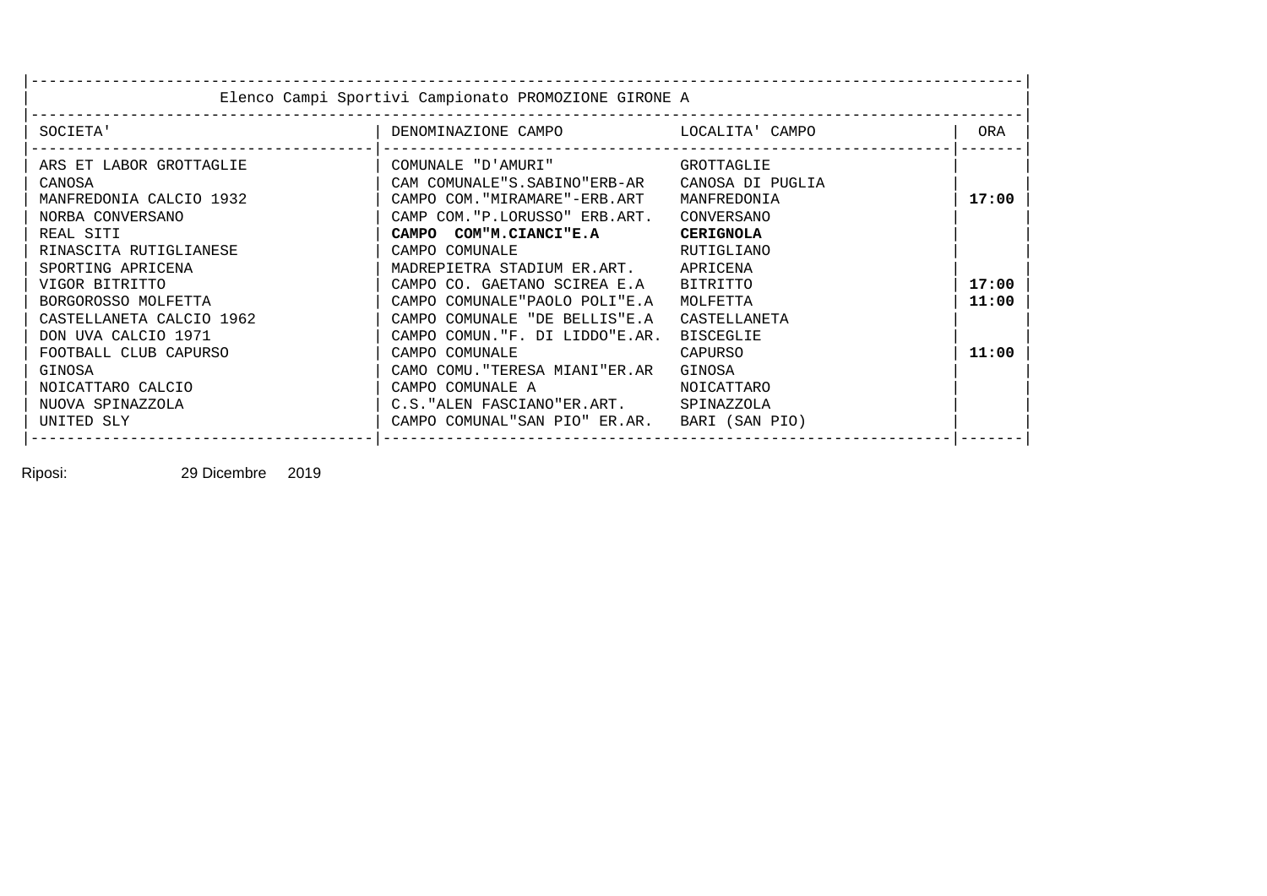|                          | Elenco Campi Sportivi Campionato PROMOZIONE GIRONE A |                  |       |
|--------------------------|------------------------------------------------------|------------------|-------|
| SOCIETA'                 |                                                      |                  | ORA   |
| ARS ET LABOR GROTTAGLIE  | COMUNALE "D'AMURI" GROTTAGLIE                        |                  |       |
| CANOSA                   | CAM COMUNALE"S.SABINO"ERB-AR CANOSA DI PUGLIA        |                  |       |
| MANFREDONIA CALCIO 1932  | CAMPO COM. "MIRAMARE"-ERB.ART MANFREDONIA            |                  | 17:00 |
| NORBA CONVERSANO         | CAMP COM."P.LORUSSO" ERB.ART.                        | CONVERSANO       |       |
| REAL SITI                | CAMPO COM"M.CIANCI"E.A                               | <b>CERIGNOLA</b> |       |
| RINASCITA RUTIGLIANESE   | CAMPO COMUNALE                                       | RUTIGLIANO       |       |
| SPORTING APRICENA        | MADREPIETRA STADIUM ER.ART. APRICENA                 |                  |       |
| VIGOR BITRITTO           | CAMPO CO. GAETANO SCIREA E.A BITRITTO                |                  | 17:00 |
| BORGOROSSO MOLFETTA      | CAMPO COMUNALE"PAOLO POLI"E.A                        | MOLFETTA         | 11:00 |
| CASTELLANETA CALCIO 1962 | CAMPO COMUNALE "DE BELLIS"E.A CASTELLANETA           |                  |       |
| DON UVA CALCIO 1971      | CAMPO COMUN. "F. DI LIDDO"E.AR.                      | <b>BISCEGLIE</b> |       |
| FOOTBALL CLUB CAPURSO    | CAMPO COMUNALE                                       | CAPURSO          | 11:00 |
| GINOSA                   | CAMO COMU. "TERESA MIANI"ER.AR GINOSA                |                  |       |
| NOICATTARO CALCIO        | CAMPO COMUNALE A                                     | NOICATTARO       |       |
| NUOVA SPINAZZOLA         | C.S. "ALEN FASCIANO"ER.ART. SPINAZZOLA               |                  |       |
| UNITED SLY               | CAMPO COMUNAL"SAN PIO" ER.AR. BARI (SAN PIO)         |                  |       |

Riposi: 29 Dicembre 2019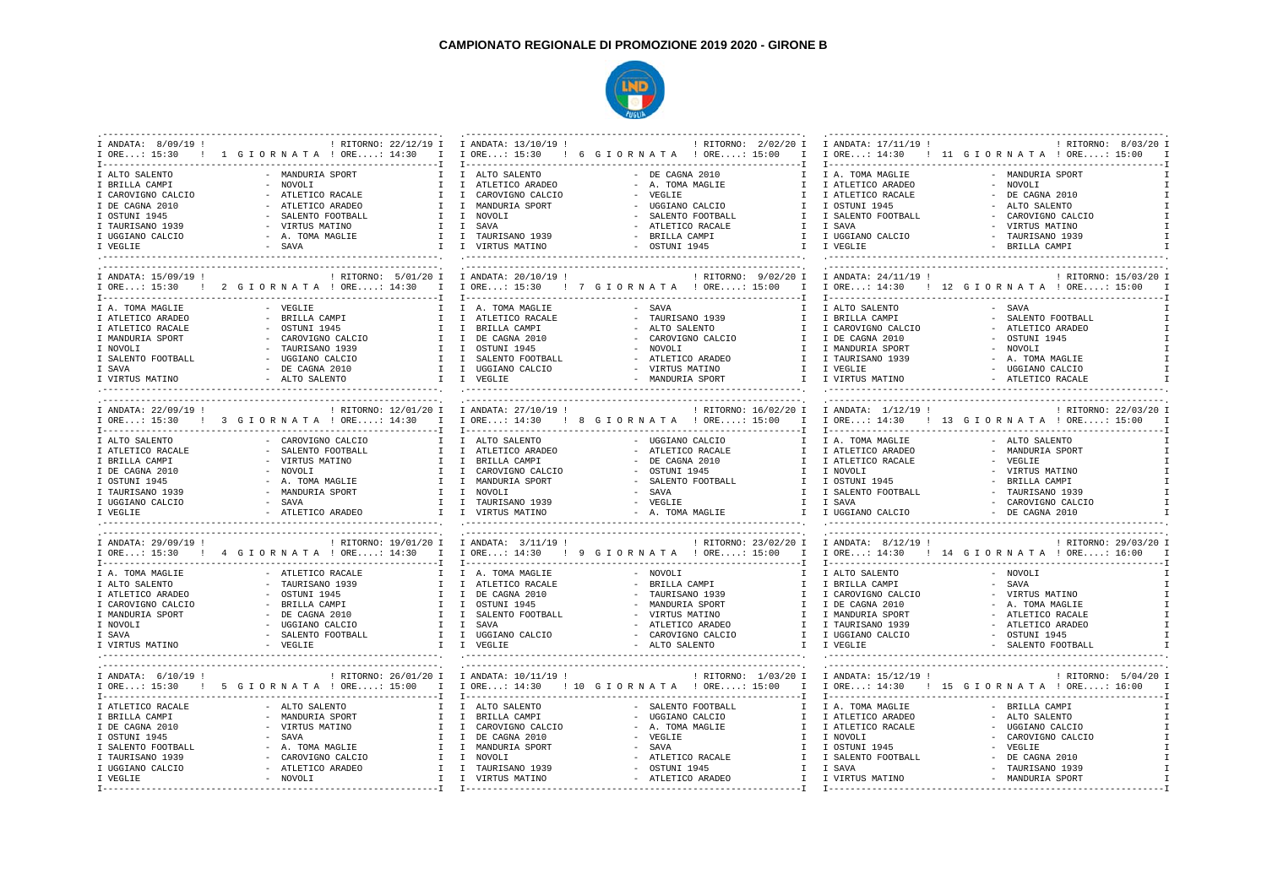## **CAMPIONATO REGIONALE DI PROMOZIONE 2019 2020 - GIRONE B**



| I ANDATA: 8/09/19 !  |                                                                                                                       | ! RITORNO: 22/12/19 I I ANDATA: 13/10/19 ! | ! RITORNO: 2/02/20 I                     | I ANDATA: 17/11/19 !                      | ! RITORNO: 8/03/20 I                            |
|----------------------|-----------------------------------------------------------------------------------------------------------------------|--------------------------------------------|------------------------------------------|-------------------------------------------|-------------------------------------------------|
|                      | I ORE: 15:30 ! 1 G I O R N A T A ! ORE: 14:30 I I ORE: 15:30 ! 6 G I O R N A T A ! ORE: 15:00 I                       |                                            |                                          |                                           | I ORE: 14:30 ! 11 G I OR N A T A ! ORE: 15:00 I |
|                      |                                                                                                                       |                                            |                                          |                                           |                                                 |
|                      |                                                                                                                       |                                            |                                          |                                           |                                                 |
| I ALTO SALENTO       | MANDURIA SPORT                                                                                                        | I ALTO SALENTO                             | $-$ DE CAGNA 2010                        | I A. TOMA MAGLIE                          | - MANDURIA SPORT                                |
| I BRILLA CAMPI       | - NOVOLI<br>$\mathbf{I}$                                                                                              | I ATLETICO ARADEO                          | - A. TOMA MAGLIE<br>$\mathbb{I}$         | I ATLETICO ARADEO                         | - NOVOLI                                        |
| I CAROVIGNO CALCIO   | - ATLETICO RACALE<br>T                                                                                                | I CAROVIGNO CALCIO                         | VEGLIE<br>$\sim$<br>$\mathbb{I}$         | I ATLETICO RACALE                         | - DE CAGNA 2010                                 |
| I DE CAGNA 2010      | - ATLETICO ARADEO<br>$\mathbb{I}$                                                                                     | $\mathbb{I}$<br>MANDURIA SPORT             | $\sim$<br>UGGIANO CALCIO<br>$\mathbb{I}$ | I OSTUNI 1945                             | - ALTO SALENTO                                  |
| I OSTUNI 1945        | - SALENTO FOOTBALL                                                                                                    | I I NOVOLI                                 | SALENTO FOOTBALL<br>$\mathbb{I}$         | I SALENTO FOOTBALL                        | - CAROVIGNO CALCIO                              |
|                      |                                                                                                                       |                                            |                                          |                                           |                                                 |
| I TAURISANO 1939     | - VIRTUS MATINO                                                                                                       | I I SAVA                                   | ATLETICO RACALE                          | I I SAVA                                  | - VIRTUS MATINO                                 |
| I UGGIANO CALCIO     | - A. TOMA MAGLIE                                                                                                      | I I TAURISANO 1939                         | - BRILLA CAMPI                           | I I UGGIANO CALCIO                        | - TAURISANO 1939                                |
| I VEGLIE             | - SAVA                                                                                                                | I I VIRTUS MATINO                          | - OSTUNI 1945                            | I I VEGLIE                                | - BRILLA CAMPI                                  |
|                      |                                                                                                                       |                                            |                                          |                                           |                                                 |
|                      |                                                                                                                       |                                            |                                          |                                           | -----------------------------                   |
| I ANDATA: 15/09/19 ! |                                                                                                                       |                                            |                                          |                                           | : RITORNO: 15/03/20 I                           |
|                      |                                                                                                                       |                                            |                                          |                                           |                                                 |
|                      | IORE: 15:30! 2 GIORNATA !ORE: 14:30 I IORE: 15:30! 7 GIORNATA !ORE: 15:00 I IORE: 14:30! 12 GIORNATA !ORE: 15:00 I    |                                            |                                          |                                           |                                                 |
|                      |                                                                                                                       |                                            |                                          |                                           |                                                 |
| I A. TOMA MAGLIE     | - VEGLIE<br>T                                                                                                         | I A. TOMA MAGLIE                           | - SAVA<br>$\mathsf{T}$                   | I ALTO SALENTO                            | $-$ SAVA                                        |
| I ATLETICO ARADEO    | - BRILLA CAMPI<br>T                                                                                                   | I ATLETICO RACALE                          | - TAURISANO 1939<br>$\mathbb{I}$         | I BRILLA CAMPI                            | - SALENTO FOOTBALL                              |
| I ATLETICO RACALE    | $-$ OSTUNI 1945<br>$\mathbf{I}$                                                                                       | I BRILLA CAMPI                             | - ALTO SALENTO<br>$\mathbb{I}$           | I CAROVIGNO CALCIO                        | - ATLETICO ARADEO                               |
|                      |                                                                                                                       |                                            |                                          |                                           |                                                 |
| I MANDURIA SPORT     | - CAROVIGNO CALCIO<br>$\mathbb{I}$                                                                                    | DE CAGNA 2010<br>$\mathbb{I}$              | - CAROVIGNO CALCIO<br>$\mathbb{I}$       | I DE CAGNA 2010                           | - OSTUNI 1945                                   |
| I NOVOLI             | - TAURISANO 1939                                                                                                      | $I$ $I$<br>OSTUNI 1945                     | - NOVOLI<br>$\mathbb{I}$                 | I MANDURIA SPORT                          | - NOVOLI                                        |
| I SALENTO FOOTBALL   | - UGGIANO CALCIO                                                                                                      | I I SALENTO FOOTBALL                       | - ATLETICO ARADEO                        | I I TAURISANO 1939                        | - A. TOMA MAGLIE                                |
| I SAVA               | $-$ DE CAGNA 2010                                                                                                     | I I UGGIANO CALCIO                         | - VIRTUS MATINO                          | I I VEGLIE                                | - UGGIANO CALCIO                                |
| I VIRTUS MATINO      | - ALTO SALENTO<br>I I VEGLIE                                                                                          |                                            | - MANDURIA SPORT                         | I I VIRTUS MATINO                         | - ATLETICO RACALE                               |
|                      |                                                                                                                       |                                            |                                          |                                           |                                                 |
|                      |                                                                                                                       |                                            |                                          |                                           |                                                 |
|                      |                                                                                                                       |                                            |                                          |                                           |                                                 |
|                      | ! RITORNO: 12/01/20 I I ANDATA: 27/10/19 ! [ RITORNO: 16/02/20 I I ANDATA: 1/12/19 !                                  |                                            |                                          |                                           | : RITORNO: 22/03/20 I                           |
|                      | IORE: 15:30 ! 3 GIORNATA !ORE: 14:30 I IORE: 14:30 ! 8 GIORNATA !ORE: 15:00 I IORE: 14:30 ! 13 GIORNATA !ORE: 15:00 I |                                            |                                          |                                           |                                                 |
|                      |                                                                                                                       |                                            |                                          |                                           |                                                 |
| T ALTO SALENTO       | - CAROVIGNO CALCIO                                                                                                    | T ALTO SALENTO                             | - UGGIANO CALCIO                         | T A. TOMA MAGLIE                          | - ALTO SALENTO                                  |
| I ATLETICO RACALE    | - SALENTO FOOTBALL<br>$\mathbb{I}$                                                                                    | I ATLETICO ARADEO                          | - ATLETICO RACALE<br>$\mathbb{I}$        | I ATLETICO ARADEO                         | - MANDURIA SPORT                                |
|                      |                                                                                                                       |                                            |                                          |                                           |                                                 |
| I BRILLA CAMPI       | VIRTUS MATINO<br>$\mathbf{I}$                                                                                         | I BRILLA CAMPI                             | $\sim$<br>DE CAGNA 2010<br>$\mathbb{I}$  | I ATLETICO RACALE                         | - VEGLIE                                        |
| I DE CAGNA 2010      | - NOVOLI<br>T                                                                                                         | $\mathbb{I}$<br>CAROVIGNO CALCIO           | OSTUNI 1945<br>$\mathbb{I}$              | I NOVOLI                                  | - VIRTUS MATINO                                 |
| I OSTUNI 1945        | - A. TOMA MAGLIE                                                                                                      | $I$ $I$<br>MANDURIA SPORT                  | - SALENTO FOOTBALL<br>$\mathbb{I}$       | I OSTUNI 1945                             | - BRILLA CAMPI                                  |
| I TAURISANO 1939     | - MANDURIA SPORT                                                                                                      | I I NOVOLI                                 | - SAVA<br>T                              | I SALENTO FOOTBALL                        | - TAURISANO 1939                                |
| I UGGIANO CALCIO     | - SAVA                                                                                                                | I I TAURISANO 1939                         |                                          |                                           | - CAROVIGNO CALCIO                              |
|                      |                                                                                                                       |                                            |                                          |                                           |                                                 |
| I VEGLIE             | - ATLETICO ARADEO                                                                                                     | I I VIRTUS MATINO                          |                                          |                                           | $-$ DE CAGNA 2010                               |
|                      |                                                                                                                       |                                            |                                          |                                           |                                                 |
|                      |                                                                                                                       |                                            |                                          |                                           |                                                 |
| I ANDATA: 29/09/19 ! |                                                                                                                       |                                            |                                          |                                           | ! RITORNO: 29/03/20 I                           |
|                      | IORE: 15:30 ! 4 GIORNATA !ORE: 14:30 I IORE: 14:30 ! 9 GIORNATA !ORE: 15:00 I IORE: 14:30 ! 14 GIORNATA !ORE: 16:00 ! |                                            |                                          |                                           |                                                 |
|                      |                                                                                                                       |                                            |                                          |                                           |                                                 |
|                      |                                                                                                                       |                                            | - NOVOLI<br>$\mathsf{T}$                 |                                           | - NOVOLI                                        |
| I A. TOMA MAGLIE     | - ATLETICO RACALE                                                                                                     | I A. TOMA MAGLIE                           |                                          | I ALTO SALENTO                            |                                                 |
| I ALTO SALENTO       | - TAURISANO 1939<br>$\mathbf{I}$                                                                                      | I ATLETICO RACALE                          | - BRILLA CAMPI<br>$\mathbbm{1}$          | I BRILLA CAMPI                            | - SAVA                                          |
| I ATLETICO ARADEO    | $-$ OSTUNI 1945<br>$\mathbb{I}$                                                                                       | I DE CAGNA 2010                            | - TAURISANO 1939<br>$\mathbb{I}$         | I CAROVIGNO CALCIO                        | - VIRTUS MATINO                                 |
| I CAROVIGNO CALCIO   | - BRILLA CAMPI<br>$\mathbf{I}$                                                                                        | I OSTUNI 1945                              | - MANDURIA SPORT<br>$\mathbb{I}$         | I DE CAGNA 2010                           | - A. TOMA MAGLIE                                |
| I MANDURIA SPORT     | - DE CAGNA 2010                                                                                                       | I I SALENTO FOOTBALL                       | - VIRTUS MATINO<br>$\mathbb{I}$          | I MANDURIA SPORT                          | - ATLETICO RACALE                               |
| I NOVOLI             | - UGGIANO CALCIO                                                                                                      | I I SAVA                                   | - ATLETICO ARADEO<br>$\mathbb{I}$        | I TAURISANO 1939                          | - ATLETICO ARADEO                               |
|                      |                                                                                                                       |                                            |                                          |                                           |                                                 |
| I SAVA               | - SALENTO FOOTBALL                                                                                                    | I I UGGIANO CALCIO                         | - CAROVIGNO CALCIO                       | I I UGGIANO CALCIO                        | - OSTUNI 1945                                   |
| I VIRTUS MATINO      | $-$ VEGLIE                                                                                                            | I I VEGLIE                                 | - ALTO SALENTO                           | I I VEGLIE                                | - SALENTO FOOTBALL                              |
|                      |                                                                                                                       |                                            |                                          |                                           |                                                 |
|                      |                                                                                                                       |                                            |                                          |                                           |                                                 |
| I ANDATA: 6/10/19 !  | ! RITORNO: 26/01/20 I I ANDATA: 10/11/19 !                                                                            |                                            |                                          | : RITORNO: 1/03/20 I I ANDATA: 15/12/19 ! | : RITORNO: 5/04/20 I                            |
| $I$ ORE: 15:30       | ! 5 GIORNATA ! ORE: 15:00 I I ORE: 14:30 ! 10 GIORNATA ! ORE: 15:00 I                                                 |                                            |                                          |                                           | I ORE: 14:30 : 15 G I OR N A T A ! ORE: 16:00   |
|                      |                                                                                                                       |                                            |                                          |                                           |                                                 |
|                      |                                                                                                                       |                                            |                                          |                                           |                                                 |
| I ATLETICO RACALE    | - ALTO SALENTO<br>$\mathbb{I}$                                                                                        | I ALTO SALENTO                             | $\mathbf{I}$<br>- SALENTO FOOTBALL       | I A. TOMA MAGLIE                          | - BRILLA CAMPI                                  |
| I BRILLA CAMPI       | - MANDURIA SPORT                                                                                                      | I I BRILLA CAMPI                           | UGGIANO CALCIO<br>T                      | I ATLETICO ARADEO                         | - ALTO SALENTO                                  |
| I DE CAGNA 2010      | - VIRTUS MATINO<br>$\mathbf{I}$                                                                                       | $\mathbb{I}$<br>CAROVIGNO CALCIO           | - A. TOMA MAGLIE<br>$\mathbb{I}$         | I ATLETICO RACALE                         | - UGGIANO CALCIO                                |
| I OSTUNI 1945        | - SAVA<br>T                                                                                                           | I DE CAGNA 2010                            | - VEGLIE                                 | I I NOVOLI                                | - CAROVIGNO CALCIO                              |
|                      |                                                                                                                       |                                            |                                          |                                           |                                                 |
| I SALENTO FOOTBALL   | - A. TOMA MAGLIE<br>I.                                                                                                | I MANDURIA SPORT                           | - SAVA<br>$\mathbb{I}$                   | I OSTUNI 1945                             | - VEGLIE                                        |
| I TAURISANO 1939     | - CAROVIGNO CALCIO                                                                                                    | I I NOVOLI                                 | - ATLETICO RACALE                        | I I SALENTO FOOTBALL                      | - DE CAGNA 2010                                 |
| I UGGIANO CALCIO     | - ATLETICO ARADEO                                                                                                     | I I TAURISANO 1939                         | $-$ OSTUNI 1945                          | I I SAVA                                  | - TAURISANO 1939                                |
| I VEGLIE             | - NOVOLI                                                                                                              | I I VIRTUS MATINO                          | - ATLETICO ARADEO                        | I I VIRTUS MATINO                         | - MANDURIA SPORT<br>$\tau$                      |
|                      |                                                                                                                       |                                            |                                          |                                           |                                                 |
|                      |                                                                                                                       |                                            |                                          |                                           |                                                 |